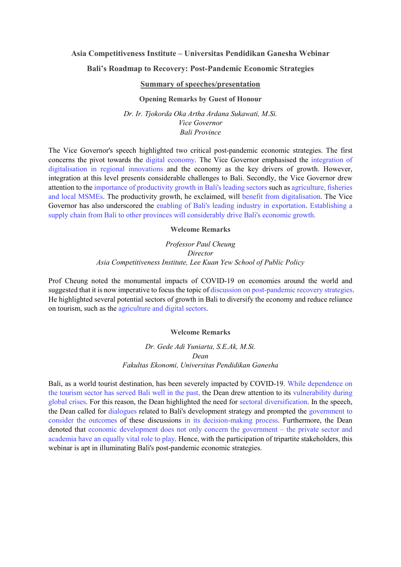# **Asia Competitiveness Institute – Universitas Pendidikan Ganesha Webinar**

## **Bali's Roadmap to Recovery: Post-Pandemic Economic Strategies**

### **Summary of speeches/presentation**

#### **Opening Remarks by Guest of Honour**

*Dr. Ir. Tjokorda Oka Artha Ardana Sukawati, M.Si. Vice Governor Bali Province* 

The Vice Governor's speech highlighted two critical post-pandemic economic strategies. The first concerns the pivot towards the digital economy. The Vice Governor emphasised the integration of digitalisation in regional innovations and the economy as the key drivers of growth. However, integration at this level presents considerable challenges to Bali. Secondly, the Vice Governor drew attention to the importance of productivity growth in Bali's leading sectors such as agriculture, fisheries and local MSMEs. The productivity growth, he exclaimed, will benefit from digitalisation. The Vice Governor has also underscored the enabling of Bali's leading industry in exportation. Establishing a supply chain from Bali to other provinces will considerably drive Bali's economic growth.

#### **Welcome Remarks**

*Professor Paul Cheung Director Asia Competitiveness Institute, Lee Kuan Yew School of Public Policy* 

Prof Cheung noted the monumental impacts of COVID-19 on economies around the world and suggested that it is now imperative to focus the topic of discussion on post-pandemic recovery strategies. He highlighted several potential sectors of growth in Bali to diversify the economy and reduce reliance on tourism, such as the agriculture and digital sectors.

#### **Welcome Remarks**

*Dr. Gede Adi Yuniarta, S.E.Ak, M.Si. Dean Fakultas Ekonomi, Universitas Pendidikan Ganesha* 

Bali, as a world tourist destination, has been severely impacted by COVID-19. While dependence on the tourism sector has served Bali well in the past, the Dean drew attention to its vulnerability during global crises. For this reason, the Dean highlighted the need for sectoral diversification. In the speech, the Dean called for dialogues related to Bali's development strategy and prompted the government to consider the outcomes of these discussions in its decision-making process. Furthermore, the Dean denoted that economic development does not only concern the government – the private sector and academia have an equally vital role to play. Hence, with the participation of tripartite stakeholders, this webinar is apt in illuminating Bali's post-pandemic economic strategies.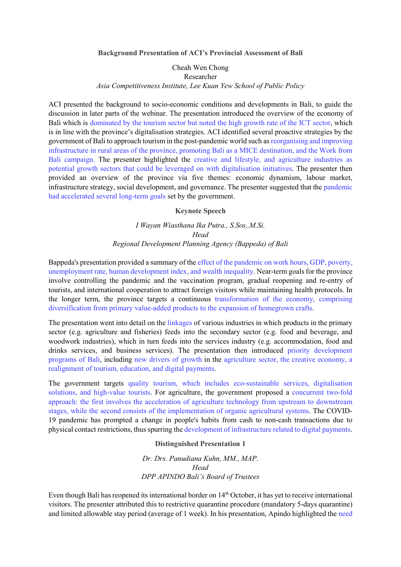**Background Presentation of ACI's Provincial Assessment of Bali**

Cheah Wen Chong Researcher *Asia Competitiveness Institute, Lee Kuan Yew School of Public Policy*

ACI presented the background to socio-economic conditions and developments in Bali, to guide the discussion in later parts of the webinar. The presentation introduced the overview of the economy of Bali which is dominated by the tourism sector but noted the high growth rate of the ICT sector, which is in line with the province's digitalisation strategies. ACI identified several proactive strategies by the government of Bali to approach tourism in the post-pandemic world such as reorganising and improving infrastructure in rural areas of the province, promoting Bali as a MICE destination, and the Work from Bali campaign. The presenter highlighted the creative and lifestyle, and agriculture industries as potential growth sectors that could be leveraged on with digitalisation initiatives. The presenter then provided an overview of the province via five themes: economic dynamism, labour market, infrastructure strategy, social development, and governance. The presenter suggested that the pandemic had accelerated several long-term goals set by the government.

#### **Keynote Speech**

## *I Wayan Wiasthana Ika Putra., S.Sos,.M.Si. Head Regional Development Planning Agency (Bappeda) of Bali*

Bappeda's presentation provided a summary of the effect of the pandemic on work hours, GDP, poverty, unemployment rate, human development index, and wealth inequality. Near-term goals for the province involve controlling the pandemic and the vaccination program, gradual reopening and re-entry of tourists, and international cooperation to attract foreign visitors while maintaining health protocols. In the longer term, the province targets a continuous transformation of the economy, comprising diversification from primary value-added products to the expansion of homegrown crafts.

The presentation went into detail on the linkages of various industries in which products in the primary sector (e.g. agriculture and fisheries) feeds into the secondary sector (e.g. food and beverage, and woodwork industries), which in turn feeds into the services industry (e.g. accommodation, food and drinks services, and business services). The presentation then introduced priority development programs of Bali, including new drivers of growth in the agriculture sector, the creative economy, a realignment of tourism, education, and digital payments.

The government targets quality tourism, which includes eco-sustainable services, digitalisation solutions, and high-value tourists. For agriculture, the government proposed a concurrent two-fold approach: the first involves the acceleration of agriculture technology from upstream to downstream stages, while the second consists of the implementation of organic agricultural systems. The COVID-19 pandemic has prompted a change in people's habits from cash to non-cash transactions due to physical contact restrictions, thus spurring the development of infrastructure related to digital payments.

#### **Distinguished Presentation 1**

*Dr. Drs. Panudiana Kuhn, MM., MAP. Head DPP APINDO Bali's Board of Trustees*

Even though Bali has reopened its international border on 14<sup>th</sup> October, it has yet to receive international visitors. The presenter attributed this to restrictive quarantine procedure (mandatory 5-days quarantine) and limited allowable stay period (average of 1 week). In his presentation, Apindo highlighted the need